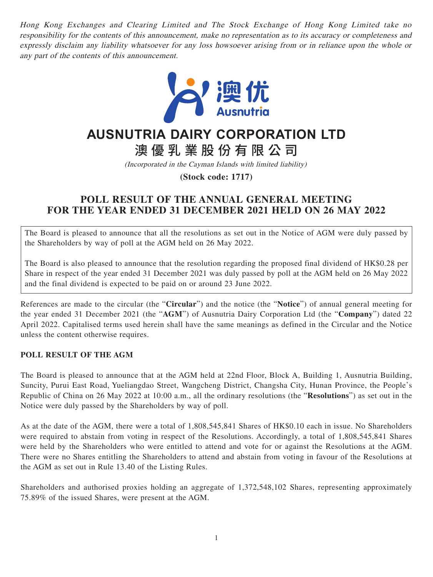Hong Kong Exchanges and Clearing Limited and The Stock Exchange of Hong Kong Limited take no responsibility for the contents of this announcement, make no representation as to its accuracy or completeness and expressly disclaim any liability whatsoever for any loss howsoever arising from or in reliance upon the whole or any part of the contents of this announcement.



## **AUSNUTRIA DAIRY CORPORATION LTD**

# 澳優乳業股份有限公 司

(Incorporated in the Cayman Islands with limited liability)

**(Stock code: 1717)**

## **POLL RESULT OF THE ANNUAL GENERAL MEETING FOR THE YEAR ENDED 31 DECEMBER 2021 HELD ON 26 MAY 2022**

The Board is pleased to announce that all the resolutions as set out in the Notice of AGM were duly passed by the Shareholders by way of poll at the AGM held on 26 May 2022.

The Board is also pleased to announce that the resolution regarding the proposed final dividend of HK\$0.28 per Share in respect of the year ended 31 December 2021 was duly passed by poll at the AGM held on 26 May 2022 and the final dividend is expected to be paid on or around 23 June 2022.

References are made to the circular (the "**Circular**") and the notice (the "**Notice**") of annual general meeting for the year ended 31 December 2021 (the "**AGM**") of Ausnutria Dairy Corporation Ltd (the "**Company**") dated 22 April 2022. Capitalised terms used herein shall have the same meanings as defined in the Circular and the Notice unless the content otherwise requires.

#### **POLL RESULT OF THE AGM**

The Board is pleased to announce that at the AGM held at 22nd Floor, Block A, Building 1, Ausnutria Building, Suncity, Purui East Road, Yueliangdao Street, Wangcheng District, Changsha City, Hunan Province, the People's Republic of China on 26 May 2022 at 10:00 a.m., all the ordinary resolutions (the "**Resolutions**") as set out in the Notice were duly passed by the Shareholders by way of poll.

As at the date of the AGM, there were a total of 1,808,545,841 Shares of HK\$0.10 each in issue. No Shareholders were required to abstain from voting in respect of the Resolutions. Accordingly, a total of 1,808,545,841 Shares were held by the Shareholders who were entitled to attend and vote for or against the Resolutions at the AGM. There were no Shares entitling the Shareholders to attend and abstain from voting in favour of the Resolutions at the AGM as set out in Rule 13.40 of the Listing Rules.

Shareholders and authorised proxies holding an aggregate of 1,372,548,102 Shares, representing approximately 75.89% of the issued Shares, were present at the AGM.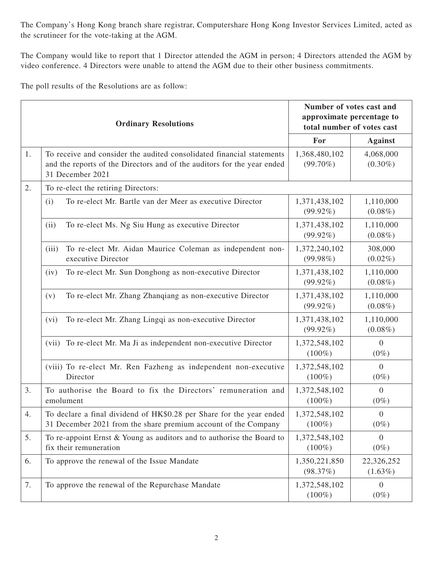The Company's Hong Kong branch share registrar, Computershare Hong Kong Investor Services Limited, acted as the scrutineer for the vote-taking at the AGM.

The Company would like to report that 1 Director attended the AGM in person; 4 Directors attended the AGM by video conference. 4 Directors were unable to attend the AGM due to their other business commitments.

The poll results of the Resolutions are as follow:

| <b>Ordinary Resolutions</b> |                                                                                                                                                                      | Number of votes cast and<br>approximate percentage to<br>total number of votes cast |                             |  |
|-----------------------------|----------------------------------------------------------------------------------------------------------------------------------------------------------------------|-------------------------------------------------------------------------------------|-----------------------------|--|
|                             |                                                                                                                                                                      | For                                                                                 | <b>Against</b>              |  |
| 1.                          | To receive and consider the audited consolidated financial statements<br>and the reports of the Directors and of the auditors for the year ended<br>31 December 2021 | 1,368,480,102<br>$(99.70\%)$                                                        | 4,068,000<br>$(0.30\%)$     |  |
| 2.                          | To re-elect the retiring Directors:                                                                                                                                  |                                                                                     |                             |  |
|                             | To re-elect Mr. Bartle van der Meer as executive Director<br>(i)                                                                                                     | 1,371,438,102<br>$(99.92\%)$                                                        | 1,110,000<br>$(0.08\%)$     |  |
|                             | To re-elect Ms. Ng Siu Hung as executive Director<br>(ii)                                                                                                            | 1,371,438,102<br>$(99.92\%)$                                                        | 1,110,000<br>$(0.08\%)$     |  |
|                             | To re-elect Mr. Aidan Maurice Coleman as independent non-<br>(iii)<br>executive Director                                                                             | 1,372,240,102<br>$(99.98\%)$                                                        | 308,000<br>$(0.02\%)$       |  |
|                             | To re-elect Mr. Sun Donghong as non-executive Director<br>(iv)                                                                                                       | 1,371,438,102<br>$(99.92\%)$                                                        | 1,110,000<br>$(0.08\%)$     |  |
|                             | To re-elect Mr. Zhang Zhanqiang as non-executive Director<br>(v)                                                                                                     | 1,371,438,102<br>$(99.92\%)$                                                        | 1,110,000<br>$(0.08\%)$     |  |
|                             | To re-elect Mr. Zhang Lingqi as non-executive Director<br>(vi)                                                                                                       | 1,371,438,102<br>$(99.92\%)$                                                        | 1,110,000<br>$(0.08\%)$     |  |
|                             | (vii) To re-elect Mr. Ma Ji as independent non-executive Director                                                                                                    | 1,372,548,102<br>$(100\%)$                                                          | $\overline{0}$<br>$(0\%)$   |  |
|                             | (viii) To re-elect Mr. Ren Fazheng as independent non-executive<br>Director                                                                                          | 1,372,548,102<br>$(100\%)$                                                          | $\overline{0}$<br>$(0\%)$   |  |
| 3.                          | To authorise the Board to fix the Directors' remuneration and<br>emolument                                                                                           | 1,372,548,102<br>$(100\%)$                                                          | $\overline{0}$<br>$(0\%)$   |  |
| 4.                          | To declare a final dividend of HK\$0.28 per Share for the year ended<br>31 December 2021 from the share premium account of the Company                               | 1,372,548,102<br>$(100\%)$                                                          | $\boldsymbol{0}$<br>$(0\%)$ |  |
| 5.                          | To re-appoint Ernst & Young as auditors and to authorise the Board to<br>fix their remuneration                                                                      | 1,372,548,102<br>$(100\%)$                                                          | $\overline{0}$<br>$(0\%)$   |  |
| 6.                          | To approve the renewal of the Issue Mandate                                                                                                                          | 1,350,221,850<br>(98.37%)                                                           | 22,326,252<br>$(1.63\%)$    |  |
| 7.                          | To approve the renewal of the Repurchase Mandate                                                                                                                     | 1,372,548,102<br>$(100\%)$                                                          | $\overline{0}$<br>$(0\%)$   |  |